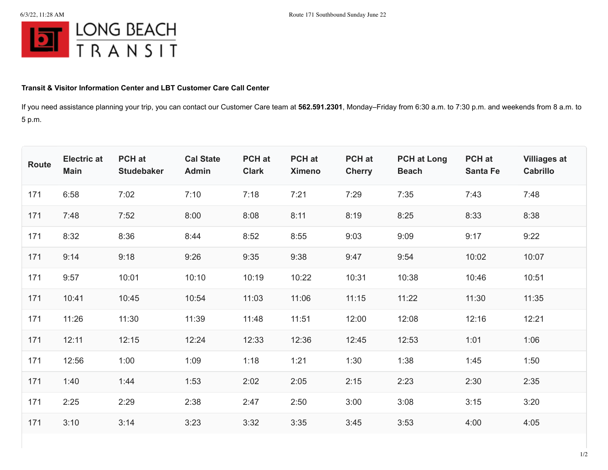

## **Transit & Visitor Information Center and LBT Customer Care Call Center**

If you need assistance planning your trip, you can contact our Customer Care team at **562.591.2301**, Monday–Friday from 6:30 a.m. to 7:30 p.m. and weekends from 8 a.m. to 5 p.m.

| <b>Route</b> | <b>Electric at</b><br><b>Main</b> | PCH at<br><b>Studebaker</b> | <b>Cal State</b><br>Admin | PCH at<br><b>Clark</b> | PCH at<br><b>Ximeno</b> | <b>PCH</b> at<br><b>Cherry</b> | <b>PCH at Long</b><br><b>Beach</b> | PCH at<br><b>Santa Fe</b> | <b>Villiages at</b><br>Cabrillo |
|--------------|-----------------------------------|-----------------------------|---------------------------|------------------------|-------------------------|--------------------------------|------------------------------------|---------------------------|---------------------------------|
| 171          | 6:58                              | 7:02                        | 7:10                      | 7:18                   | 7:21                    | 7:29                           | 7:35                               | 7:43                      | 7:48                            |
| 171          | 7:48                              | 7:52                        | 8:00                      | 8:08                   | 8:11                    | 8:19                           | 8:25                               | 8:33                      | 8:38                            |
| 171          | 8:32                              | 8:36                        | 8:44                      | 8:52                   | 8:55                    | 9:03                           | 9:09                               | 9:17                      | 9:22                            |
| 171          | 9:14                              | 9:18                        | 9:26                      | 9:35                   | 9:38                    | 9:47                           | 9:54                               | 10:02                     | 10:07                           |
| 171          | 9:57                              | 10:01                       | 10:10                     | 10:19                  | 10:22                   | 10:31                          | 10:38                              | 10:46                     | 10:51                           |
| 171          | 10:41                             | 10:45                       | 10:54                     | 11:03                  | 11:06                   | 11:15                          | 11:22                              | 11:30                     | 11:35                           |
| 171          | 11:26                             | 11:30                       | 11:39                     | 11:48                  | 11:51                   | 12:00                          | 12:08                              | 12:16                     | 12:21                           |
| 171          | 12:11                             | 12:15                       | 12:24                     | 12:33                  | 12:36                   | 12:45                          | 12:53                              | 1:01                      | 1:06                            |
| 171          | 12:56                             | 1:00                        | 1:09                      | 1:18                   | 1:21                    | 1:30                           | 1:38                               | 1:45                      | 1:50                            |
| 171          | 1:40                              | 1:44                        | 1:53                      | 2:02                   | 2:05                    | 2:15                           | 2:23                               | 2:30                      | 2:35                            |
| 171          | 2:25                              | 2:29                        | 2:38                      | 2:47                   | 2:50                    | 3:00                           | 3:08                               | 3:15                      | 3:20                            |
| 171          | 3:10                              | 3:14                        | 3:23                      | 3:32                   | 3:35                    | 3:45                           | 3:53                               | 4:00                      | 4:05                            |